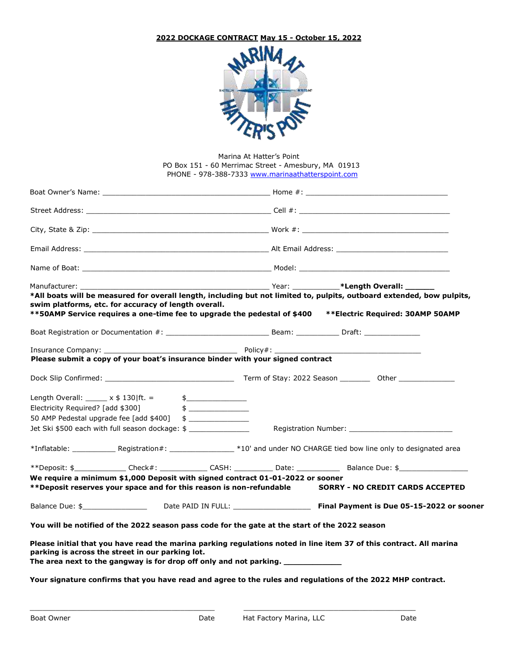## **2022 DOCKAGE CONTRACT May 15 - October 15, 2022**



Marina At Hatter's Point PO Box 151 - 60 Merrimac Street - Amesbury, MA 01913 PHONE - 978-388-7333 www.marinaathatterspoint.com

| Manufacturer: will be a series of the series of the series of the series of the series of the series of the series of the series of the series of the series of the series of the series of the series of the series of the se                                                               |                |  | The Year: The Year: <b>Example 2014</b> Year: <b>The Year Act of Allength Overall:</b> |  |
|----------------------------------------------------------------------------------------------------------------------------------------------------------------------------------------------------------------------------------------------------------------------------------------------|----------------|--|----------------------------------------------------------------------------------------|--|
| *All boats will be measured for overall length, including but not limited to, pulpits, outboard extended, bow pulpits,<br>swim platforms, etc. for accuracy of length overall.<br>**50AMP Service requires a one-time fee to upgrade the pedestal of \$400 ***Electric Required: 30AMP 50AMP |                |  |                                                                                        |  |
|                                                                                                                                                                                                                                                                                              |                |  |                                                                                        |  |
|                                                                                                                                                                                                                                                                                              |                |  |                                                                                        |  |
| Please submit a copy of your boat's insurance binder with your signed contract                                                                                                                                                                                                               |                |  |                                                                                        |  |
| Dock Slip Confirmed: The Contract of Stay: 2022 Season Communication of Stay: 2022 Season                                                                                                                                                                                                    |                |  |                                                                                        |  |
| Length Overall: $x \pm 130$   ft. =                                                                                                                                                                                                                                                          |                |  |                                                                                        |  |
| Electricity Required? [add \$300]                                                                                                                                                                                                                                                            |                |  |                                                                                        |  |
| 50 AMP Pedestal upgrade fee [add \$400]                                                                                                                                                                                                                                                      | $\updownarrow$ |  |                                                                                        |  |
| Jet Ski \$500 each with full season dockage: \$                                                                                                                                                                                                                                              |                |  |                                                                                        |  |
|                                                                                                                                                                                                                                                                                              |                |  |                                                                                        |  |
| **Deposit: \$______________Check#: _____________CASH: ___________Date: ____________________Balance Due: \$______________                                                                                                                                                                     |                |  |                                                                                        |  |
| We require a minimum \$1,000 Deposit with signed contract 01-01-2022 or sooner                                                                                                                                                                                                               |                |  |                                                                                        |  |
| **Deposit reserves your space and for this reason is non-refundable SORRY - NO CREDIT CARDS ACCEPTED                                                                                                                                                                                         |                |  |                                                                                        |  |
| Balance Due: \$_________________________Date PAID IN FULL: _______________________ Final Payment is Due 05-15-2022 or sooner                                                                                                                                                                 |                |  |                                                                                        |  |
| You will be notified of the 2022 season pass code for the gate at the start of the 2022 season                                                                                                                                                                                               |                |  |                                                                                        |  |
| Please initial that you have read the marina parking regulations noted in line item 37 of this contract. All marina<br>parking is across the street in our parking lot.<br>The area next to the gangway is for drop off only and not parking. _____________                                  |                |  |                                                                                        |  |
| Your signature confirms that you have read and agree to the rules and regulations of the 2022 MHP contract.                                                                                                                                                                                  |                |  |                                                                                        |  |

 $\_$  ,  $\_$  ,  $\_$  ,  $\_$  ,  $\_$  ,  $\_$  ,  $\_$  ,  $\_$  ,  $\_$  ,  $\_$  ,  $\_$  ,  $\_$  ,  $\_$  ,  $\_$  ,  $\_$  ,  $\_$  ,  $\_$  ,  $\_$  ,  $\_$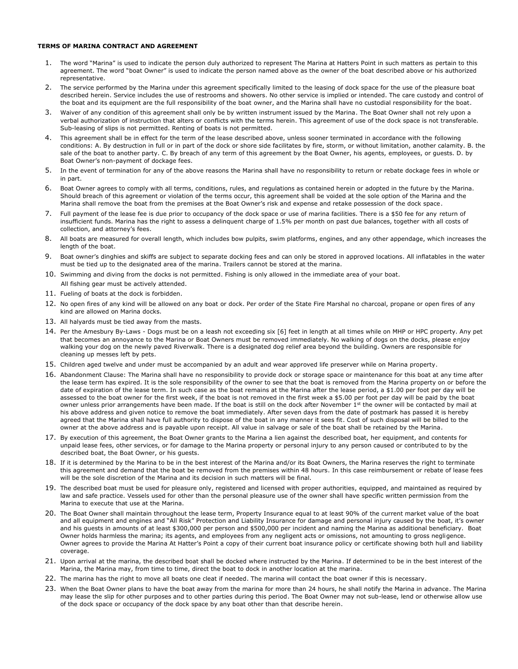## **TERMS OF MARINA CONTRACT AND AGREEMENT**

- 1. The word "Marina" is used to indicate the person duly authorized to represent The Marina at Hatters Point in such matters as pertain to this agreement. The word "boat Owner" is used to indicate the person named above as the owner of the boat described above or his authorized representative.
- 2. The service performed by the Marina under this agreement specifically limited to the leasing of dock space for the use of the pleasure boat described herein. Service includes the use of restrooms and showers. No other service is implied or intended. The care custody and control of the boat and its equipment are the full responsibility of the boat owner, and the Marina shall have no custodial responsibility for the boat.
- 3. Waiver of any condition of this agreement shall only be by written instrument issued by the Marina. The Boat Owner shall not rely upon a verbal authorization of instruction that alters or conflicts with the terms herein. This agreement of use of the dock space is not transferable. Sub-leasing of slips is not permitted. Renting of boats is not permitted.
- 4. This agreement shall be in effect for the term of the lease described above, unless sooner terminated in accordance with the following conditions: A. By destruction in full or in part of the dock or shore side facilitates by fire, storm, or without limitation, another calamity. B. the sale of the boat to another party. C. By breach of any term of this agreement by the Boat Owner, his agents, employees, or guests. D. by Boat Owner's non-payment of dockage fees.
- 5. In the event of termination for any of the above reasons the Marina shall have no responsibility to return or rebate dockage fees in whole or in part.
- 6. Boat Owner agrees to comply with all terms, conditions, rules, and regulations as contained herein or adopted in the future by the Marina. Should breach of this agreement or violation of the terms occur, this agreement shall be voided at the sole option of the Marina and the Marina shall remove the boat from the premises at the Boat Owner's risk and expense and retake possession of the dock space.
- 7. Full payment of the lease fee is due prior to occupancy of the dock space or use of marina facilities. There is a \$50 fee for any return of insufficient funds. Marina has the right to assess a delinquent charge of 1.5% per month on past due balances, together with all costs of collection, and attorney's fees.
- 8. All boats are measured for overall length, which includes bow pulpits, swim platforms, engines, and any other appendage, which increases the length of the boat.
- 9. Boat owner's dinghies and skiffs are subject to separate docking fees and can only be stored in approved locations. All inflatables in the water must be tied up to the designated area of the marina. Trailers cannot be stored at the marina.
- 10. Swimming and diving from the docks is not permitted. Fishing is only allowed in the immediate area of your boat. All fishing gear must be actively attended.
- 11. Fueling of boats at the dock is forbidden.
- 12. No open fires of any kind will be allowed on any boat or dock. Per order of the State Fire Marshal no charcoal, propane or open fires of any kind are allowed on Marina docks.
- 13. All halyards must be tied away from the masts.
- 14. Per the Amesbury By-Laws Dogs must be on a leash not exceeding six [6] feet in length at all times while on MHP or HPC property. Any pet that becomes an annoyance to the Marina or Boat Owners must be removed immediately. No walking of dogs on the docks, please enjoy walking your dog on the newly paved Riverwalk. There is a designated dog relief area beyond the building. Owners are responsible for cleaning up messes left by pets.
- 15. Children aged twelve and under must be accompanied by an adult and wear approved life preserver while on Marina property.
- 16. Abandonment Clause: The Marina shall have no responsibility to provide dock or storage space or maintenance for this boat at any time after the lease term has expired. It is the sole responsibility of the owner to see that the boat is removed from the Marina property on or before the date of expiration of the lease term. In such case as the boat remains at the Marina after the lease period, a \$1.00 per foot per day will be assessed to the boat owner for the first week, if the boat is not removed in the first week a \$5.00 per foot per day will be paid by the boat owner unless prior arrangements have been made. If the boat is still on the dock after November 1st the owner will be contacted by mail at his above address and given notice to remove the boat immediately. After seven days from the date of postmark has passed it is hereby agreed that the Marina shall have full authority to dispose of the boat in any manner it sees fit. Cost of such disposal will be billed to the owner at the above address and is payable upon receipt. All value in salvage or sale of the boat shall be retained by the Marina.
- 17. By execution of this agreement, the Boat Owner grants to the Marina a lien against the described boat, her equipment, and contents for unpaid lease fees, other services, or for damage to the Marina property or personal injury to any person caused or contributed to by the described boat, the Boat Owner, or his guests.
- 18. If it is determined by the Marina to be in the best interest of the Marina and/or its Boat Owners, the Marina reserves the right to terminate this agreement and demand that the boat be removed from the premises within 48 hours. In this case reimbursement or rebate of lease fees will be the sole discretion of the Marina and its decision in such matters will be final.
- 19. The described boat must be used for pleasure only, registered and licensed with proper authorities, equipped, and maintained as required by law and safe practice. Vessels used for other than the personal pleasure use of the owner shall have specific written permission from the Marina to execute that use at the Marina.
- 20. The Boat Owner shall maintain throughout the lease term, Property Insurance equal to at least 90% of the current market value of the boat and all equipment and engines and "All Risk" Protection and Liability Insurance for damage and personal injury caused by the boat, it's owner and his guests in amounts of at least \$300,000 per person and \$500,000 per incident and naming the Marina as additional beneficiary. Boat Owner holds harmless the marina; its agents, and employees from any negligent acts or omissions, not amounting to gross negligence. Owner agrees to provide the Marina At Hatter's Point a copy of their current boat insurance policy or certificate showing both hull and liability coverage.
- 21. Upon arrival at the marina, the described boat shall be docked where instructed by the Marina. If determined to be in the best interest of the Marina, the Marina may, from time to time, direct the boat to dock in another location at the marina.
- 22. The marina has the right to move all boats one cleat if needed. The marina will contact the boat owner if this is necessary.
- 23. When the Boat Owner plans to have the boat away from the marina for more than 24 hours, he shall notify the Marina in advance. The Marina may lease the slip for other purposes and to other parties during this period. The Boat Owner may not sub-lease, lend or otherwise allow use of the dock space or occupancy of the dock space by any boat other than that describe herein.